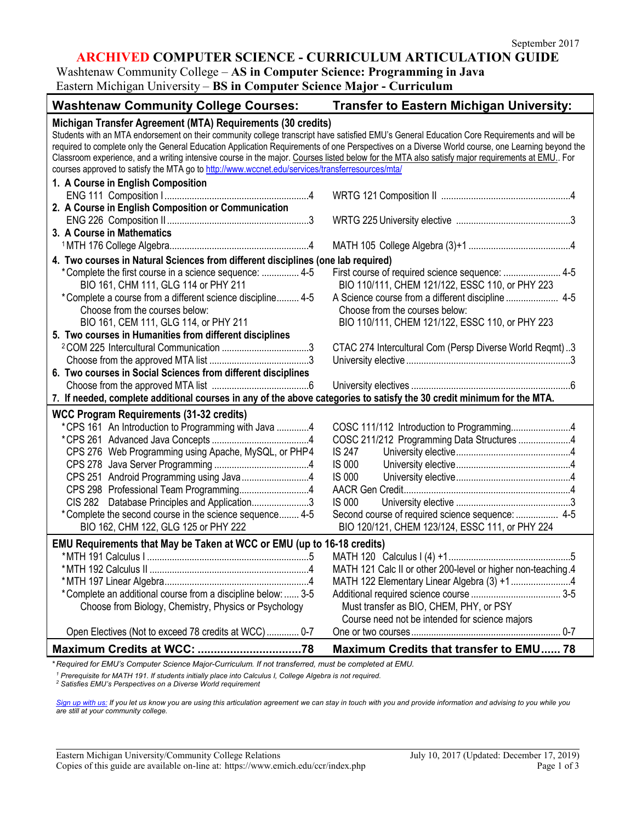# **ARCHIVED COMPUTER SCIENCE - CURRICULUM ARTICULATION GUIDE**

Washtenaw Community College – **AS in Computer Science: Programming in Java**

Eastern Michigan University – **BS in Computer Science Major - Curriculum**

| <b>Washtenaw Community College Courses:</b>                                                                                                                                                                                                                                                                                                                                                                                                                                                                                                                                                                         | <b>Transfer to Eastern Michigan University:</b>              |
|---------------------------------------------------------------------------------------------------------------------------------------------------------------------------------------------------------------------------------------------------------------------------------------------------------------------------------------------------------------------------------------------------------------------------------------------------------------------------------------------------------------------------------------------------------------------------------------------------------------------|--------------------------------------------------------------|
| Michigan Transfer Agreement (MTA) Requirements (30 credits)<br>Students with an MTA endorsement on their community college transcript have satisfied EMU's General Education Core Requirements and will be<br>required to complete only the General Education Application Requirements of one Perspectives on a Diverse World course, one Learning beyond the<br>Classroom experience, and a writing intensive course in the major. Courses listed below for the MTA also satisfy major requirements at EMU. For<br>courses approved to satisfy the MTA go to http://www.wccnet.edu/services/transferresources/mta/ |                                                              |
| 1. A Course in English Composition                                                                                                                                                                                                                                                                                                                                                                                                                                                                                                                                                                                  |                                                              |
|                                                                                                                                                                                                                                                                                                                                                                                                                                                                                                                                                                                                                     |                                                              |
| 2. A Course in English Composition or Communication                                                                                                                                                                                                                                                                                                                                                                                                                                                                                                                                                                 |                                                              |
|                                                                                                                                                                                                                                                                                                                                                                                                                                                                                                                                                                                                                     |                                                              |
| 3. A Course in Mathematics                                                                                                                                                                                                                                                                                                                                                                                                                                                                                                                                                                                          |                                                              |
|                                                                                                                                                                                                                                                                                                                                                                                                                                                                                                                                                                                                                     |                                                              |
|                                                                                                                                                                                                                                                                                                                                                                                                                                                                                                                                                                                                                     |                                                              |
| 4. Two courses in Natural Sciences from different disciplines (one lab required)                                                                                                                                                                                                                                                                                                                                                                                                                                                                                                                                    |                                                              |
| *Complete the first course in a science sequence:  4-5<br>BIO 161, CHM 111, GLG 114 or PHY 211                                                                                                                                                                                                                                                                                                                                                                                                                                                                                                                      | BIO 110/111, CHEM 121/122, ESSC 110, or PHY 223              |
| *Complete a course from a different science discipline 4-5                                                                                                                                                                                                                                                                                                                                                                                                                                                                                                                                                          |                                                              |
| Choose from the courses below:                                                                                                                                                                                                                                                                                                                                                                                                                                                                                                                                                                                      | Choose from the courses below:                               |
| BIO 161, CEM 111, GLG 114, or PHY 211                                                                                                                                                                                                                                                                                                                                                                                                                                                                                                                                                                               | BIO 110/111, CHEM 121/122, ESSC 110, or PHY 223              |
| 5. Two courses in Humanities from different disciplines                                                                                                                                                                                                                                                                                                                                                                                                                                                                                                                                                             |                                                              |
|                                                                                                                                                                                                                                                                                                                                                                                                                                                                                                                                                                                                                     | CTAC 274 Intercultural Com (Persp Diverse World Reqmt)3      |
|                                                                                                                                                                                                                                                                                                                                                                                                                                                                                                                                                                                                                     |                                                              |
| 6. Two courses in Social Sciences from different disciplines                                                                                                                                                                                                                                                                                                                                                                                                                                                                                                                                                        |                                                              |
|                                                                                                                                                                                                                                                                                                                                                                                                                                                                                                                                                                                                                     |                                                              |
| 7. If needed, complete additional courses in any of the above categories to satisfy the 30 credit minimum for the MTA.                                                                                                                                                                                                                                                                                                                                                                                                                                                                                              |                                                              |
| <b>WCC Program Requirements (31-32 credits)</b>                                                                                                                                                                                                                                                                                                                                                                                                                                                                                                                                                                     |                                                              |
| *CPS 161 An Introduction to Programming with Java 4                                                                                                                                                                                                                                                                                                                                                                                                                                                                                                                                                                 | COSC 111/112 Introduction to Programming4                    |
|                                                                                                                                                                                                                                                                                                                                                                                                                                                                                                                                                                                                                     | COSC 211/212 Programming Data Structures 4                   |
| CPS 276 Web Programming using Apache, MySQL, or PHP4                                                                                                                                                                                                                                                                                                                                                                                                                                                                                                                                                                | <b>IS 247</b>                                                |
|                                                                                                                                                                                                                                                                                                                                                                                                                                                                                                                                                                                                                     | <b>IS 000</b>                                                |
| CPS 251 Android Programming using Java4                                                                                                                                                                                                                                                                                                                                                                                                                                                                                                                                                                             | <b>IS 000</b>                                                |
| CPS 298 Professional Team Programming4                                                                                                                                                                                                                                                                                                                                                                                                                                                                                                                                                                              |                                                              |
| CIS 282 Database Principles and Application3                                                                                                                                                                                                                                                                                                                                                                                                                                                                                                                                                                        | <b>IS 000</b>                                                |
| *Complete the second course in the science sequence 4-5                                                                                                                                                                                                                                                                                                                                                                                                                                                                                                                                                             | Second course of required science sequence:  4-5             |
| BIO 162, CHM 122, GLG 125 or PHY 222                                                                                                                                                                                                                                                                                                                                                                                                                                                                                                                                                                                | BIO 120/121, CHEM 123/124, ESSC 111, or PHY 224              |
| EMU Requirements that May be Taken at WCC or EMU (up to 16-18 credits)                                                                                                                                                                                                                                                                                                                                                                                                                                                                                                                                              |                                                              |
|                                                                                                                                                                                                                                                                                                                                                                                                                                                                                                                                                                                                                     |                                                              |
|                                                                                                                                                                                                                                                                                                                                                                                                                                                                                                                                                                                                                     | MATH 121 Calc II or other 200-level or higher non-teaching.4 |
|                                                                                                                                                                                                                                                                                                                                                                                                                                                                                                                                                                                                                     |                                                              |
| *Complete an additional course from a discipline below:  3-5                                                                                                                                                                                                                                                                                                                                                                                                                                                                                                                                                        |                                                              |
| Choose from Biology, Chemistry, Physics or Psychology                                                                                                                                                                                                                                                                                                                                                                                                                                                                                                                                                               | Must transfer as BIO, CHEM, PHY, or PSY                      |
|                                                                                                                                                                                                                                                                                                                                                                                                                                                                                                                                                                                                                     | Course need not be intended for science majors               |
| Open Electives (Not to exceed 78 credits at WCC)  0-7                                                                                                                                                                                                                                                                                                                                                                                                                                                                                                                                                               |                                                              |
|                                                                                                                                                                                                                                                                                                                                                                                                                                                                                                                                                                                                                     | Maximum Credits that transfer to EMU 78                      |
|                                                                                                                                                                                                                                                                                                                                                                                                                                                                                                                                                                                                                     |                                                              |

*\* Required for EMU's Computer Science Major-Curriculum. If not transferred, must be completed at EMU.* 

*<sup>1</sup> Prerequisite for MATH 191. If students initially place into Calculus I, College Algebra is not required.*

*<sup>2</sup> Satisfies EMU's Perspectives on a Diverse World requirement*

*[Sign up with us:](https://www.emich.edu/ccr/articulation-agreements/signup.php) If you let us know you are using this articulation agreement we can stay in touch with you and provide information and advising to you while you are still at your community college.*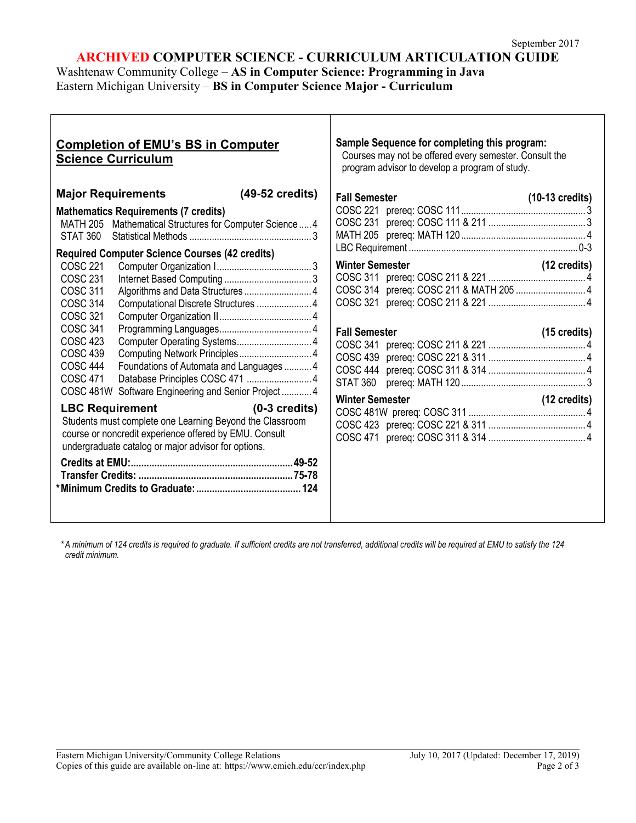# **ARCHIVED COMPUTER SCIENCE - CURRICULUM ARTICULATION GUIDE**

Washtenaw Community College – **AS in Computer Science: Programming in Java** Eastern Michigan University – **BS in Computer Science Major - Curriculum**

| <b>Completion of EMU's BS in Computer</b><br><b>Science Curriculum</b>                                                                                                                                                                                                                                                                                                                                                                                                                                                                                                                                                                                                                                                                                                                                            | Sample Sequence for completing this program:<br>Courses may not be offered every semester. Consult the<br>program advisor to develop a program of study.                                |
|-------------------------------------------------------------------------------------------------------------------------------------------------------------------------------------------------------------------------------------------------------------------------------------------------------------------------------------------------------------------------------------------------------------------------------------------------------------------------------------------------------------------------------------------------------------------------------------------------------------------------------------------------------------------------------------------------------------------------------------------------------------------------------------------------------------------|-----------------------------------------------------------------------------------------------------------------------------------------------------------------------------------------|
| <b>Major Requirements</b><br>(49-52 credits)<br><b>Mathematics Requirements (7 credits)</b><br>MATH 205 Mathematical Structures for Computer Science  4<br><b>STAT 360</b><br><b>Required Computer Science Courses (42 credits)</b><br><b>COSC 221</b><br><b>COSC 231</b><br><b>COSC 311</b><br>COSC 314<br>Computational Discrete Structures  4<br>COSC 321<br><b>COSC 341</b><br>COSC 423<br><b>COSC 439</b><br>Computing Network Principles 4<br><b>COSC 444</b><br>Foundations of Automata and Languages4<br>COSC 471<br>COSC 481W Software Engineering and Senior Project4<br><b>LBC Requirement</b><br>$(0-3 \text{ credits})$<br>Students must complete one Learning Beyond the Classroom<br>course or noncredit experience offered by EMU. Consult<br>undergraduate catalog or major advisor for options. | <b>Fall Semester</b><br>$(10-13 \text{ credits})$<br><b>Winter Semester</b><br>(12 credits)<br><b>Fall Semester</b><br>$(15 \text{ credits})$<br><b>Winter Semester</b><br>(12 credits) |

*\* A minimum of 124 credits is required to graduate. If sufficient credits are not transferred, additional credits will be required at EMU to satisfy the 124 credit minimum.*